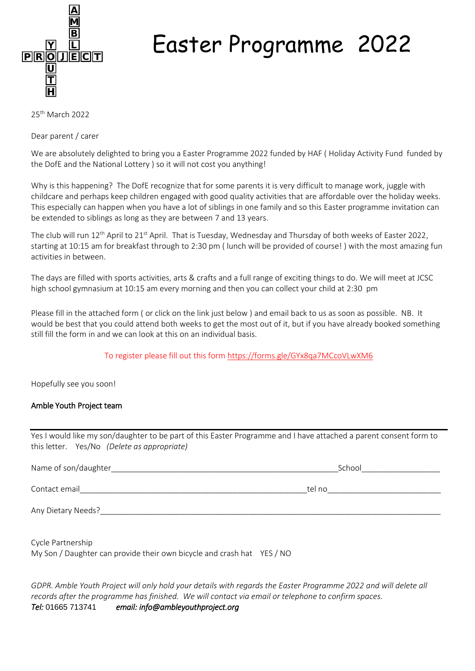

## Easter Programme 2022

25th March 2022

Dear parent / carer

We are absolutely delighted to bring you a Easter Programme 2022 funded by HAF ( Holiday Activity Fund funded by the DofE and the National Lottery ) so it will not cost you anything!

Why is this happening? The DofE recognize that for some parents it is very difficult to manage work, juggle with childcare and perhaps keep children engaged with good quality activities that are affordable over the holiday weeks. This especially can happen when you have a lot of siblings in one family and so this Easter programme invitation can be extended to siblings as long as they are between 7 and 13 years.

The club will run 12<sup>th</sup> April to 21<sup>st</sup> April. That is Tuesday, Wednesday and Thursday of both weeks of Easter 2022, starting at 10:15 am for breakfast through to 2:30 pm ( lunch will be provided of course! ) with the most amazing fun activities in between.

The days are filled with sports activities, arts & crafts and a full range of exciting things to do. We will meet at JCSC high school gymnasium at 10:15 am every morning and then you can collect your child at 2:30 pm

Please fill in the attached form ( or click on the link just below ) and email back to us as soon as possible. NB. It would be best that you could attend both weeks to get the most out of it, but if you have already booked something still fill the form in and we can look at this on an individual basis.

To register please fill out this form<https://forms.gle/GYx8qa7MCcoVLwXM6>

Hopefully see you soon!

## Amble Youth Project team

Yes I would like my son/daughter to be part of this Easter Programme and I have attached a parent consent form to this letter. Yes/No *(Delete as appropriate)*

| Name of son/daughter | School |
|----------------------|--------|
| Contact email        | tel no |
| Any Dietary Needs?   |        |

Cycle Partnership

My Son / Daughter can provide their own bicycle and crash hat YES / NO

*GDPR. Amble Youth Project will only hold your details with regards the Easter Programme 2022 and will delete all records after the programme has finished. We will contact via email or telephone to confirm spaces. Tel:* 01665 713741 *email: info@ambleyouthproject.org*